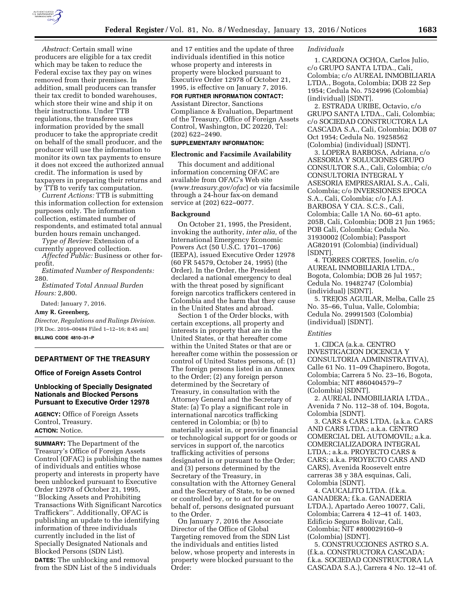

*Abstract:* Certain small wine producers are eligible for a tax credit which may be taken to reduce the Federal excise tax they pay on wines removed from their premises. In addition, small producers can transfer their tax credit to bonded warehouses, which store their wine and ship it on their instructions. Under TTB regulations, the transferee uses information provided by the small producer to take the appropriate credit on behalf of the small producer, and the producer will use the information to monitor its own tax payments to ensure it does not exceed the authorized annual credit. The information is used by taxpayers in preparing their returns and by TTB to verify tax computation.

*Current Actions:* TTB is submitting this information collection for extension purposes only. The information collection, estimated number of respondents, and estimated total annual burden hours remain unchanged.

*Type of Review:* Extension of a currently approved collection. *Affected Public:* Business or other for-

profit. *Estimated Number of Respondents:* 

280.

*Estimated Total Annual Burden Hours:* 2,800.

Dated: January 7, 2016.

**Amy R. Greenberg,** 

*Director, Regulations and Rulings Division.*  [FR Doc. 2016–00484 Filed 1–12–16; 8:45 am] **BILLING CODE 4810–31–P** 

# **DEPARTMENT OF THE TREASURY**

# **Office of Foreign Assets Control**

# **Unblocking of Specially Designated Nationals and Blocked Persons Pursuant to Executive Order 12978**

**AGENCY:** Office of Foreign Assets Control, Treasury. **ACTION:** Notice.

**SUMMARY:** The Department of the Treasury's Office of Foreign Assets Control (OFAC) is publishing the names of individuals and entities whose property and interests in property have been unblocked pursuant to Executive Order 12978 of October 21, 1995, ''Blocking Assets and Prohibiting Transactions With Significant Narcotics Traffickers''. Additionally, OFAC is publishing an update to the identifying information of three individuals currently included in the list of Specially Designated Nationals and Blocked Persons (SDN List). **DATES:** The unblocking and removal from the SDN List of the 5 individuals

and 17 entities and the update of three individuals identified in this notice whose property and interests in property were blocked pursuant to Executive Order 12978 of October 21, 1995, is effective on January 7, 2016.

## **FOR FURTHER INFORMATION CONTACT:**

Assistant Director, Sanctions Compliance & Evaluation, Department of the Treasury, Office of Foreign Assets Control, Washington, DC 20220, Tel: (202) 622–2490.

# **SUPPLEMENTARY INFORMATION:**

### **Electronic and Facsimile Availability**

This document and additional information concerning OFAC are available from OFAC's Web site (*[www.treasury.gov/ofac](http://www.treasury.gov/ofac)*) or via facsimile through a 24-hour fax-on demand service at (202) 622–0077.

#### **Background**

On October 21, 1995, the President, invoking the authority, *inter alia,* of the International Emergency Economic Powers Act (50 U.S.C. 1701–1706) (IEEPA), issued Executive Order 12978 (60 FR 54579, October 24, 1995) (the Order). In the Order, the President declared a national emergency to deal with the threat posed by significant foreign narcotics traffickers centered in Colombia and the harm that they cause in the United States and abroad.

Section 1 of the Order blocks, with certain exceptions, all property and interests in property that are in the United States, or that hereafter come within the United States or that are or hereafter come within the possession or control of United States persons, of: (1) The foreign persons listed in an Annex to the Order; (2) any foreign person determined by the Secretary of Treasury, in consultation with the Attorney General and the Secretary of State: (a) To play a significant role in international narcotics trafficking centered in Colombia; or (b) to materially assist in, or provide financial or technological support for or goods or services in support of, the narcotics trafficking activities of persons designated in or pursuant to the Order; and (3) persons determined by the Secretary of the Treasury, in consultation with the Attorney General and the Secretary of State, to be owned or controlled by, or to act for or on behalf of, persons designated pursuant to the Order.

On January 7, 2016 the Associate Director of the Office of Global Targeting removed from the SDN List the individuals and entities listed below, whose property and interests in property were blocked pursuant to the Order:

#### *Individuals*

1. CARDONA OCHOA, Carlos Julio, c/o GRUPO SANTA LTDA., Cali, Colombia; c/o AUREAL INMOBILIARIA LTDA., Bogota, Colombia; DOB 22 Sep 1954; Cedula No. 7524996 (Colombia) (individual) [SDNT].

2. ESTRADA URIBE, Octavio, c/o GRUPO SANTA LTDA., Cali, Colombia; c/o SOCIEDAD CONSTRUCTORA LA CASCADA S.A., Cali, Colombia; DOB 07 Oct 1954; Cedula No. 19258562 (Colombia) (individual) [SDNT].

3. LOPERA BARBOSA, Adriana, c/o ASESORIA Y SOLUCIONES GRUPO CONSULTOR S.A., Cali, Colombia; c/o CONSULTORIA INTEGRAL Y ASESORIA EMPRESARIAL S.A., Cali, Colombia; c/o INVERSIONES EPOCA S.A., Cali, Colombia; c/o J.A.J. BARBOSA Y CIA. S.C.S., Cali, Colombia; Calle 1A No. 60–61 apto. 205B, Cali, Colombia; DOB 21 Jun 1965; POB Cali, Colombia; Cedula No. 31930002 (Colombia); Passport AG820191 (Colombia) (individual) [SDNT].

4. TORRES CORTES, Joselin, c/o AUREAL INMOBILIARIA LTDA., Bogota, Colombia; DOB 26 Jul 1957; Cedula No. 19482747 (Colombia) (individual) [SDNT].

5. TREJOS AGUILAR, Melba, Calle 25 No. 35–66, Tulua, Valle, Colombia; Cedula No. 29991503 (Colombia) (individual) [SDNT].

#### *Entities*

1. CIDCA (a.k.a. CENTRO INVESTIGACION DOCENCIA Y CONSULTORIA ADMINISTRATIVA), Calle 61 No. 11–09 Chapinero, Bogota, Colombia; Carrera 5 No. 23–16, Bogota, Colombia; NIT #860404579–7 (Colombia) [SDNT].

2. AUREAL INMOBILIARIA LTDA., Avenida 7 No. 112–38 of. 104, Bogota, Colombia [SDNT].

3. CARS & CARS LTDA. (a.k.a. CARS AND CARS LTDA.; a.k.a. CENTRO COMERCIAL DEL AUTOMOVIL; a.k.a. COMERCIALIZADORA INTEGRAL LTDA.; a.k.a. PROYECTO CARS & CARS; a.k.a. PROYECTO CARS AND CARS), Avenida Roosevelt entre carreras 38 y 38A esquinas, Cali, Colombia [SDNT].

4. CAUCALITO LTDA. (f.k.a. GANADERA; f.k.a. GANADERIA LTDA.), Apartado Aereo 10077, Cali, Colombia; Carrera 4 12–41 of. 1403, Edificio Seguros Bolivar, Cali, Colombia; NIT #800029160–9 (Colombia) [SDNT].

5. CONSTRUCCIONES ASTRO S.A. (f.k.a. CONSTRUCTORA CASCADA; f.k.a. SOCIEDAD CONSTRUCTORA LA CASCADA S.A.), Carrera 4 No. 12–41 of.